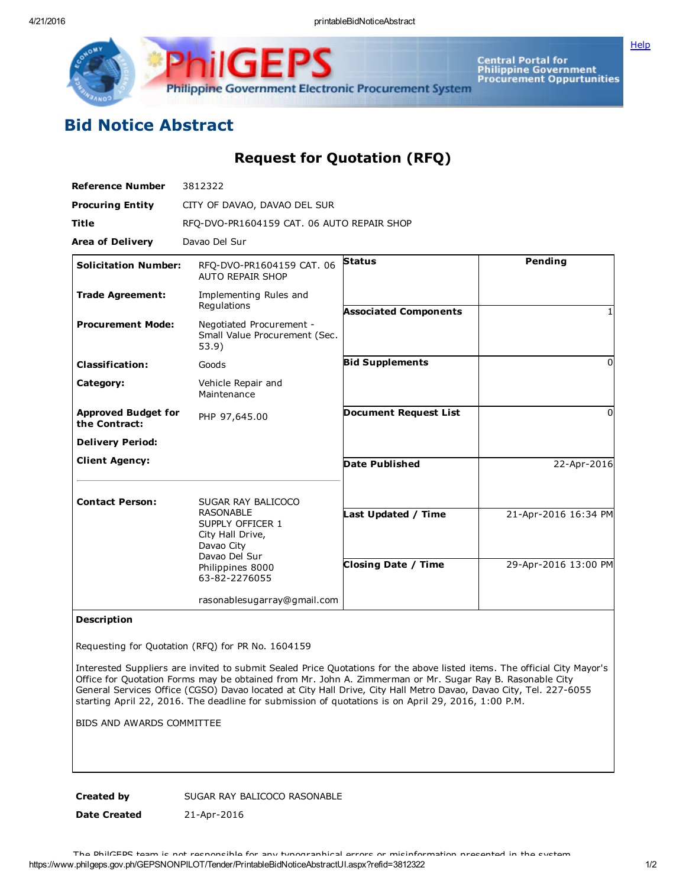**[Help](javascript:void(window.open()** 



Central Portal for<br>Philippine Government<br>Procurement Oppurtunities

## Bid Notice Abstract

Request for Quotation (RFQ)

| <b>Reference Number</b>                     | 3812322                                                             |                              |                      |
|---------------------------------------------|---------------------------------------------------------------------|------------------------------|----------------------|
| <b>Procuring Entity</b>                     | CITY OF DAVAO, DAVAO DEL SUR                                        |                              |                      |
| <b>Title</b>                                | RFQ-DVO-PR1604159 CAT. 06 AUTO REPAIR SHOP                          |                              |                      |
| <b>Area of Delivery</b>                     | Davao Del Sur                                                       |                              |                      |
| <b>Solicitation Number:</b>                 | RFO-DVO-PR1604159 CAT. 06<br><b>AUTO REPAIR SHOP</b>                | <b>Status</b>                | Pending              |
| <b>Trade Agreement:</b>                     | Implementing Rules and<br>Regulations                               | <b>Associated Components</b> |                      |
| <b>Procurement Mode:</b>                    | Negotiated Procurement -<br>Small Value Procurement (Sec.<br>53.9)  |                              |                      |
| <b>Classification:</b>                      | Goods                                                               | <b>Bid Supplements</b>       | $\Omega$             |
| Category:                                   | Vehicle Repair and<br>Maintenance                                   |                              |                      |
| <b>Approved Budget for</b><br>the Contract: | PHP 97,645.00                                                       | <b>Document Request List</b> | $\Omega$             |
| <b>Delivery Period:</b>                     |                                                                     |                              |                      |
| <b>Client Agency:</b>                       |                                                                     | Date Published               | 22-Apr-2016          |
| <b>Contact Person:</b>                      | SUGAR RAY BALICOCO<br><b>RASONABLE</b>                              |                              | 21-Apr-2016 16:34 PM |
|                                             | SUPPLY OFFICER 1<br>City Hall Drive,<br>Davao City<br>Davao Del Sur | Last Updated / Time          |                      |
|                                             | Philippines 8000<br>63-82-2276055                                   | <b>Closing Date / Time</b>   | 29-Apr-2016 13:00 PM |
|                                             | rasonablesugarray@gmail.com                                         |                              |                      |

## Description

Requesting for Quotation (RFQ) for PR No. 1604159

Interested Suppliers are invited to submit Sealed Price Quotations for the above listed items. The official City Mayor's Office for Quotation Forms may be obtained from Mr. John A. Zimmerman or Mr. Sugar Ray B. Rasonable City General Services Office (CGSO) Davao located at City Hall Drive, City Hall Metro Davao, Davao City, Tel. 227-6055 starting April 22, 2016. The deadline for submission of quotations is on April 29, 2016, 1:00 P.M.

BIDS AND AWARDS COMMITTEE

Created by SUGAR RAY BALICOCO RASONABLE

Date Created 21-Apr-2016